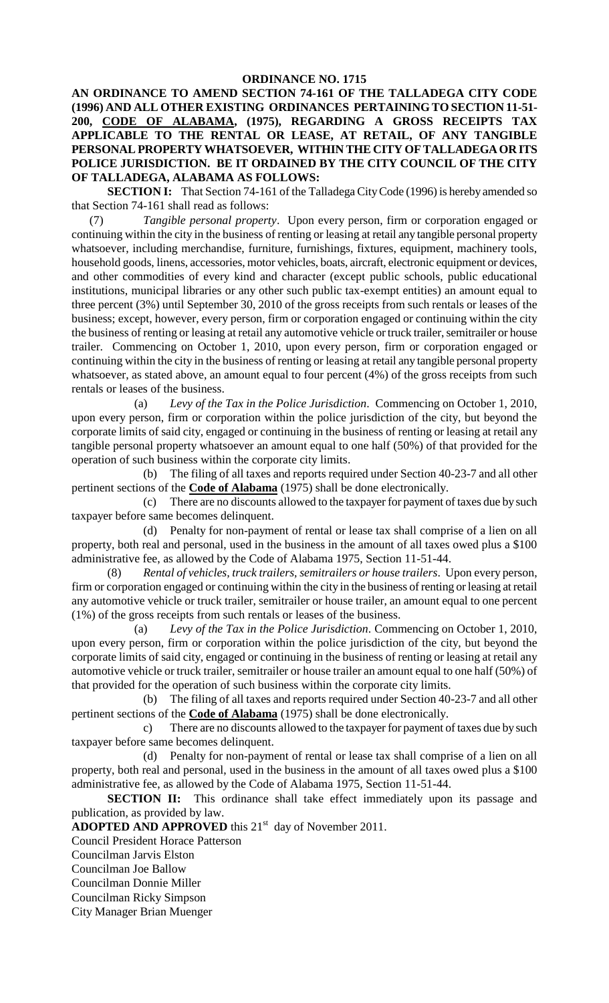## **ORDINANCE NO. 1715**

**AN ORDINANCE TO AMEND SECTION 74-161 OF THE TALLADEGA CITY CODE (1996) AND ALL OTHER EXISTING ORDINANCES PERTAINING TO SECTION 11-51- 200, CODE OF ALABAMA, (1975), REGARDING A GROSS RECEIPTS TAX APPLICABLE TO THE RENTAL OR LEASE, AT RETAIL, OF ANY TANGIBLE PERSONAL PROPERTY WHATSOEVER, WITHIN THE CITY OF TALLADEGA OR ITS POLICE JURISDICTION. BE IT ORDAINED BY THE CITY COUNCIL OF THE CITY OF TALLADEGA, ALABAMA AS FOLLOWS:**

**SECTION I:** That Section 74-161 of the Talladega City Code (1996) is hereby amended so that Section 74-161 shall read as follows:

(7) *Tangible personal property*. Upon every person, firm or corporation engaged or continuing within the city in the business of renting or leasing at retail any tangible personal property whatsoever, including merchandise, furniture, furnishings, fixtures, equipment, machinery tools, household goods, linens, accessories, motor vehicles, boats, aircraft, electronic equipment or devices, and other commodities of every kind and character (except public schools, public educational institutions, municipal libraries or any other such public tax-exempt entities) an amount equal to three percent (3%) until September 30, 2010 of the gross receipts from such rentals or leases of the business; except, however, every person, firm or corporation engaged or continuing within the city the business of renting or leasing at retail any automotive vehicle or truck trailer, semitrailer or house trailer. Commencing on October 1, 2010, upon every person, firm or corporation engaged or continuing within the city in the business of renting or leasing at retail any tangible personal property whatsoever, as stated above, an amount equal to four percent (4%) of the gross receipts from such rentals or leases of the business.

(a) *Levy of the Tax in the Police Jurisdiction*. Commencing on October 1, 2010, upon every person, firm or corporation within the police jurisdiction of the city, but beyond the corporate limits of said city, engaged or continuing in the business of renting or leasing at retail any tangible personal property whatsoever an amount equal to one half (50%) of that provided for the operation of such business within the corporate city limits.

(b) The filing of all taxes and reports required under Section 40-23-7 and all other pertinent sections of the **Code of Alabama** (1975) shall be done electronically.

(c) There are no discounts allowed to the taxpayer for payment of taxes due by such taxpayer before same becomes delinquent.

(d) Penalty for non-payment of rental or lease tax shall comprise of a lien on all property, both real and personal, used in the business in the amount of all taxes owed plus a \$100 administrative fee, as allowed by the Code of Alabama 1975, Section 11-51-44.

(8) *Rental of vehicles, truck trailers, semitrailers or house trailers*. Upon every person, firm or corporation engaged or continuing within the city in the business of renting or leasing at retail any automotive vehicle or truck trailer, semitrailer or house trailer, an amount equal to one percent (1%) of the gross receipts from such rentals or leases of the business.

(a) *Levy of the Tax in the Police Jurisdiction*. Commencing on October 1, 2010, upon every person, firm or corporation within the police jurisdiction of the city, but beyond the corporate limits of said city, engaged or continuing in the business of renting or leasing at retail any automotive vehicle or truck trailer, semitrailer or house trailer an amount equal to one half (50%) of that provided for the operation of such business within the corporate city limits.

(b) The filing of all taxes and reports required under Section 40-23-7 and all other pertinent sections of the **Code of Alabama** (1975) shall be done electronically.

c) There are no discounts allowed to the taxpayer for payment of taxes due by such taxpayer before same becomes delinquent.

(d) Penalty for non-payment of rental or lease tax shall comprise of a lien on all property, both real and personal, used in the business in the amount of all taxes owed plus a \$100 administrative fee, as allowed by the Code of Alabama 1975, Section 11-51-44.

**SECTION II:** This ordinance shall take effect immediately upon its passage and publication, as provided by law.

ADOPTED AND APPROVED this 21<sup>st</sup> day of November 2011.

Council President Horace Patterson

Councilman Jarvis Elston

Councilman Joe Ballow

Councilman Donnie Miller

Councilman Ricky Simpson

City Manager Brian Muenger